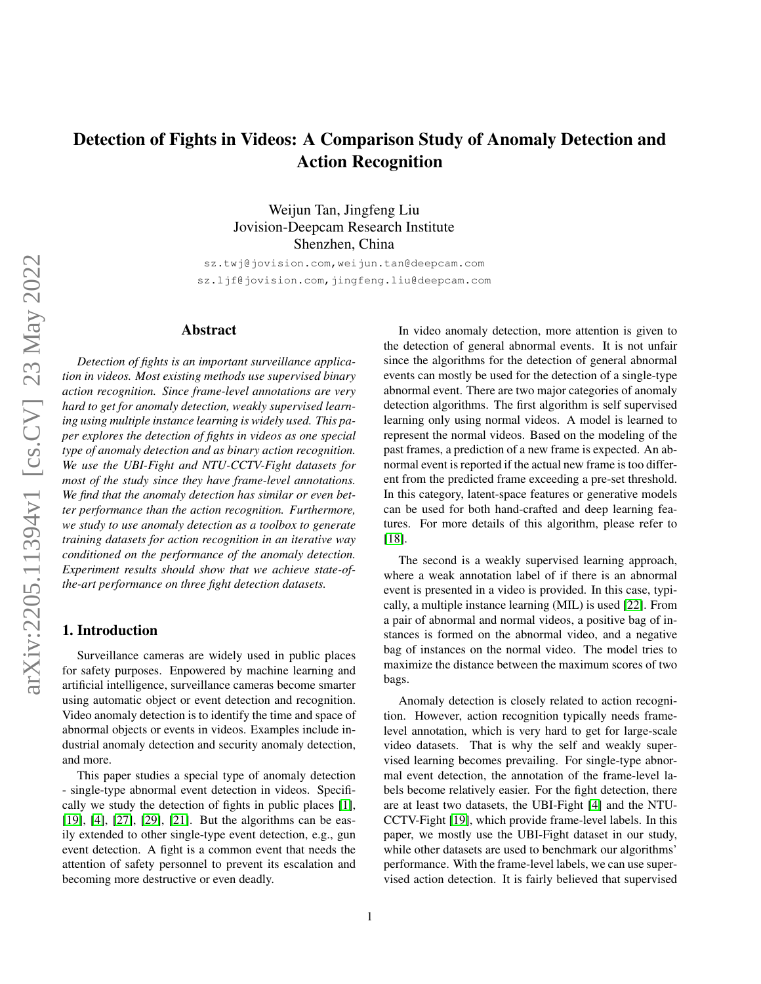# Detection of Fights in Videos: A Comparison Study of Anomaly Detection and Action Recognition

Weijun Tan, Jingfeng Liu Jovision-Deepcam Research Institute Shenzhen, China

sz.twj@jovision.com,weijun.tan@deepcam.com sz.ljf@jovision.com,jingfeng.liu@deepcam.com

## Abstract

*Detection of fights is an important surveillance application in videos. Most existing methods use supervised binary action recognition. Since frame-level annotations are very hard to get for anomaly detection, weakly supervised learning using multiple instance learning is widely used. This paper explores the detection of fights in videos as one special type of anomaly detection and as binary action recognition. We use the UBI-Fight and NTU-CCTV-Fight datasets for most of the study since they have frame-level annotations. We find that the anomaly detection has similar or even better performance than the action recognition. Furthermore, we study to use anomaly detection as a toolbox to generate training datasets for action recognition in an iterative way conditioned on the performance of the anomaly detection. Experiment results should show that we achieve state-ofthe-art performance on three fight detection datasets.*

### 1. Introduction

Surveillance cameras are widely used in public places for safety purposes. Enpowered by machine learning and artificial intelligence, surveillance cameras become smarter using automatic object or event detection and recognition. Video anomaly detection is to identify the time and space of abnormal objects or events in videos. Examples include industrial anomaly detection and security anomaly detection, and more.

This paper studies a special type of anomaly detection - single-type abnormal event detection in videos. Specifically we study the detection of fights in public places [\[1\]](#page-6-0), [\[19\]](#page-6-1), [\[4\]](#page-6-2), [\[27\]](#page-6-3), [\[29\]](#page-6-4), [\[21\]](#page-6-5). But the algorithms can be easily extended to other single-type event detection, e.g., gun event detection. A fight is a common event that needs the attention of safety personnel to prevent its escalation and becoming more destructive or even deadly.

In video anomaly detection, more attention is given to the detection of general abnormal events. It is not unfair since the algorithms for the detection of general abnormal events can mostly be used for the detection of a single-type abnormal event. There are two major categories of anomaly detection algorithms. The first algorithm is self supervised learning only using normal videos. A model is learned to represent the normal videos. Based on the modeling of the past frames, a prediction of a new frame is expected. An abnormal event is reported if the actual new frame is too different from the predicted frame exceeding a pre-set threshold. In this category, latent-space features or generative models can be used for both hand-crafted and deep learning features. For more details of this algorithm, please refer to [\[18\]](#page-6-6).

The second is a weakly supervised learning approach, where a weak annotation label of if there is an abnormal event is presented in a video is provided. In this case, typically, a multiple instance learning (MIL) is used [\[22\]](#page-6-7). From a pair of abnormal and normal videos, a positive bag of instances is formed on the abnormal video, and a negative bag of instances on the normal video. The model tries to maximize the distance between the maximum scores of two bags.

Anomaly detection is closely related to action recognition. However, action recognition typically needs framelevel annotation, which is very hard to get for large-scale video datasets. That is why the self and weakly supervised learning becomes prevailing. For single-type abnormal event detection, the annotation of the frame-level labels become relatively easier. For the fight detection, there are at least two datasets, the UBI-Fight [\[4\]](#page-6-2) and the NTU-CCTV-Fight [\[19\]](#page-6-1), which provide frame-level labels. In this paper, we mostly use the UBI-Fight dataset in our study, while other datasets are used to benchmark our algorithms' performance. With the frame-level labels, we can use supervised action detection. It is fairly believed that supervised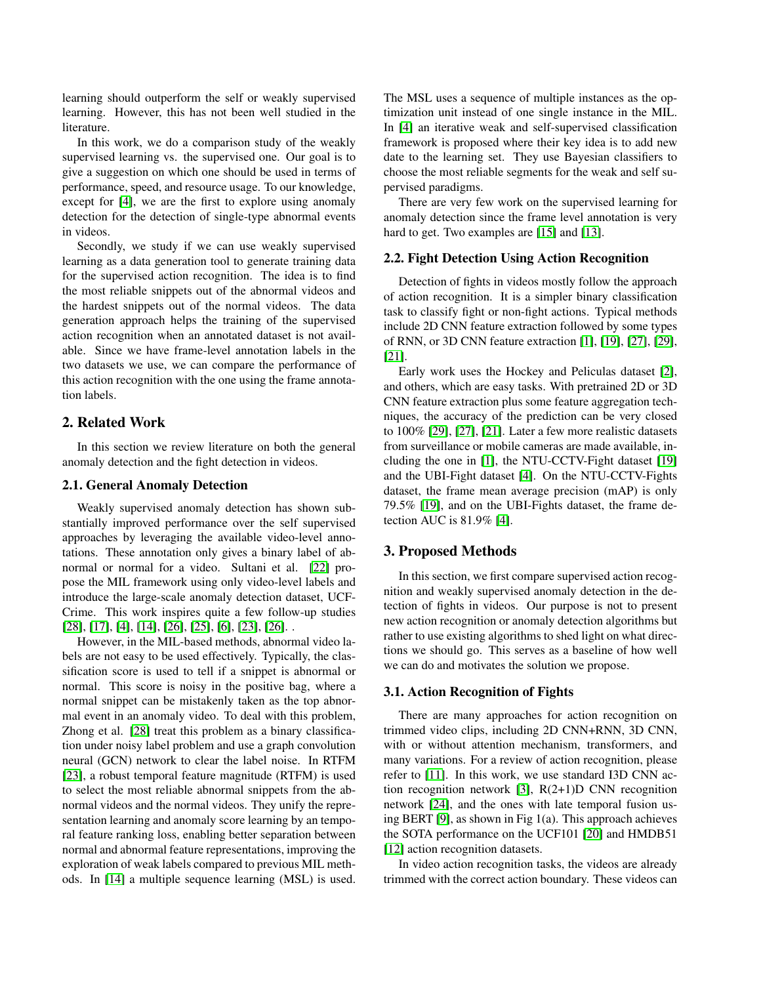learning should outperform the self or weakly supervised learning. However, this has not been well studied in the literature.

In this work, we do a comparison study of the weakly supervised learning vs. the supervised one. Our goal is to give a suggestion on which one should be used in terms of performance, speed, and resource usage. To our knowledge, except for [\[4\]](#page-6-2), we are the first to explore using anomaly detection for the detection of single-type abnormal events in videos.

Secondly, we study if we can use weakly supervised learning as a data generation tool to generate training data for the supervised action recognition. The idea is to find the most reliable snippets out of the abnormal videos and the hardest snippets out of the normal videos. The data generation approach helps the training of the supervised action recognition when an annotated dataset is not available. Since we have frame-level annotation labels in the two datasets we use, we can compare the performance of this action recognition with the one using the frame annotation labels.

## 2. Related Work

In this section we review literature on both the general anomaly detection and the fight detection in videos.

## 2.1. General Anomaly Detection

Weakly supervised anomaly detection has shown substantially improved performance over the self supervised approaches by leveraging the available video-level annotations. These annotation only gives a binary label of abnormal or normal for a video. Sultani et al. [\[22\]](#page-6-7) propose the MIL framework using only video-level labels and introduce the large-scale anomaly detection dataset, UCF-Crime. This work inspires quite a few follow-up studies [\[28\]](#page-6-8), [\[17\]](#page-6-9), [\[4\]](#page-6-2), [\[14\]](#page-6-10), [\[26\]](#page-6-11), [\[25\]](#page-6-12), [\[6\]](#page-6-13), [\[23\]](#page-6-14), [\[26\]](#page-6-11). .

However, in the MIL-based methods, abnormal video labels are not easy to be used effectively. Typically, the classification score is used to tell if a snippet is abnormal or normal. This score is noisy in the positive bag, where a normal snippet can be mistakenly taken as the top abnormal event in an anomaly video. To deal with this problem, Zhong et al. [\[28\]](#page-6-8) treat this problem as a binary classification under noisy label problem and use a graph convolution neural (GCN) network to clear the label noise. In RTFM [\[23\]](#page-6-14), a robust temporal feature magnitude (RTFM) is used to select the most reliable abnormal snippets from the abnormal videos and the normal videos. They unify the representation learning and anomaly score learning by an temporal feature ranking loss, enabling better separation between normal and abnormal feature representations, improving the exploration of weak labels compared to previous MIL methods. In [\[14\]](#page-6-10) a multiple sequence learning (MSL) is used. The MSL uses a sequence of multiple instances as the optimization unit instead of one single instance in the MIL. In [\[4\]](#page-6-2) an iterative weak and self-supervised classification framework is proposed where their key idea is to add new date to the learning set. They use Bayesian classifiers to choose the most reliable segments for the weak and self supervised paradigms.

There are very few work on the supervised learning for anomaly detection since the frame level annotation is very hard to get. Two examples are [\[15\]](#page-6-15) and [\[13\]](#page-6-16).

## 2.2. Fight Detection Using Action Recognition

Detection of fights in videos mostly follow the approach of action recognition. It is a simpler binary classification task to classify fight or non-fight actions. Typical methods include 2D CNN feature extraction followed by some types of RNN, or 3D CNN feature extraction [\[1\]](#page-6-0), [\[19\]](#page-6-1), [\[27\]](#page-6-3), [\[29\]](#page-6-4), [\[21\]](#page-6-5).

Early work uses the Hockey and Peliculas dataset [\[2\]](#page-6-17), and others, which are easy tasks. With pretrained 2D or 3D CNN feature extraction plus some feature aggregation techniques, the accuracy of the prediction can be very closed to 100% [\[29\]](#page-6-4), [\[27\]](#page-6-3), [\[21\]](#page-6-5). Later a few more realistic datasets from surveillance or mobile cameras are made available, including the one in [\[1\]](#page-6-0), the NTU-CCTV-Fight dataset [\[19\]](#page-6-1) and the UBI-Fight dataset [\[4\]](#page-6-2). On the NTU-CCTV-Fights dataset, the frame mean average precision (mAP) is only 79.5% [\[19\]](#page-6-1), and on the UBI-Fights dataset, the frame detection AUC is  $81.9\%$  [\[4\]](#page-6-2).

## 3. Proposed Methods

In this section, we first compare supervised action recognition and weakly supervised anomaly detection in the detection of fights in videos. Our purpose is not to present new action recognition or anomaly detection algorithms but rather to use existing algorithms to shed light on what directions we should go. This serves as a baseline of how well we can do and motivates the solution we propose.

#### 3.1. Action Recognition of Fights

There are many approaches for action recognition on trimmed video clips, including 2D CNN+RNN, 3D CNN, with or without attention mechanism, transformers, and many variations. For a review of action recognition, please refer to [\[11\]](#page-6-18). In this work, we use standard I3D CNN action recognition network [\[3\]](#page-6-19), R(2+1)D CNN recognition network [\[24\]](#page-6-20), and the ones with late temporal fusion using BERT [\[9\]](#page-6-21), as shown in Fig 1(a). This approach achieves the SOTA performance on the UCF101 [\[20\]](#page-6-22) and HMDB51 [\[12\]](#page-6-23) action recognition datasets.

In video action recognition tasks, the videos are already trimmed with the correct action boundary. These videos can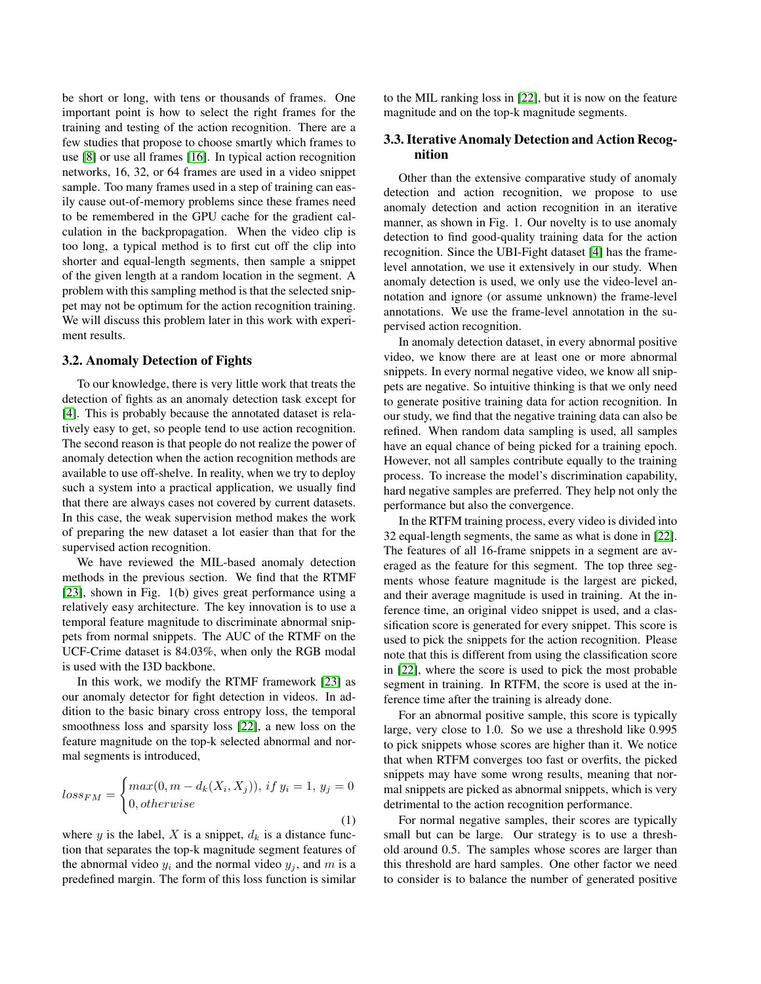be short or long, with tens or thousands of frames. One important point is how to select the right frames for the training and testing of the action recognition. There are a few studies that propose to choose smartly which frames to use [\[8\]](#page-6-24) or use all frames [\[16\]](#page-6-25). In typical action recognition networks, 16, 32, or 64 frames are used in a video snippet sample. Too many frames used in a step of training can easily cause out-of-memory problems since these frames need to be remembered in the GPU cache for the gradient calculation in the backpropagation. When the video clip is too long, a typical method is to first cut off the clip into shorter and equal-length segments, then sample a snippet of the given length at a random location in the segment. A problem with this sampling method is that the selected snippet may not be optimum for the action recognition training. We will discuss this problem later in this work with experiment results.

#### 3.2. Anomaly Detection of Fights

To our knowledge, there is very little work that treats the detection of fights as an anomaly detection task except for [\[4\]](#page-6-2). This is probably because the annotated dataset is relatively easy to get, so people tend to use action recognition. The second reason is that people do not realize the power of anomaly detection when the action recognition methods are available to use off-shelve. In reality, when we try to deploy such a system into a practical application, we usually find that there are always cases not covered by current datasets. In this case, the weak supervision method makes the work of preparing the new dataset a lot easier than that for the supervised action recognition.

We have reviewed the MIL-based anomaly detection methods in the previous section. We find that the RTMF [\[23\]](#page-6-14), shown in Fig. 1(b) gives great performance using a relatively easy architecture. The key innovation is to use a temporal feature magnitude to discriminate abnormal snippets from normal snippets. The AUC of the RTMF on the UCF-Crime dataset is 84.03%, when only the RGB modal is used with the I3D backbone.

In this work, we modify the RTMF framework [\[23\]](#page-6-14) as our anomaly detector for fight detection in videos. In addition to the basic binary cross entropy loss, the temporal smoothness loss and sparsity loss [\[22\]](#page-6-7), a new loss on the feature magnitude on the top-k selected abnormal and normal segments is introduced,

$$
loss_{FM} = \begin{cases} max(0, m - d_k(X_i, X_j)), \, if \, y_i = 1, \, y_j = 0 \\ 0, otherwise \end{cases}
$$
\n
$$
(1)
$$

where y is the label, X is a snippet,  $d_k$  is a distance function that separates the top-k magnitude segment features of the abnormal video  $y_i$  and the normal video  $y_j$ , and m is a predefined margin. The form of this loss function is similar to the MIL ranking loss in [\[22\]](#page-6-7), but it is now on the feature magnitude and on the top-k magnitude segments.

## 3.3. Iterative Anomaly Detection and Action Recognition

Other than the extensive comparative study of anomaly detection and action recognition, we propose to use anomaly detection and action recognition in an iterative manner, as shown in Fig. 1. Our novelty is to use anomaly detection to find good-quality training data for the action recognition. Since the UBI-Fight dataset [\[4\]](#page-6-2) has the framelevel annotation, we use it extensively in our study. When anomaly detection is used, we only use the video-level annotation and ignore (or assume unknown) the frame-level annotations. We use the frame-level annotation in the supervised action recognition.

In anomaly detection dataset, in every abnormal positive video, we know there are at least one or more abnormal snippets. In every normal negative video, we know all snippets are negative. So intuitive thinking is that we only need to generate positive training data for action recognition. In our study, we find that the negative training data can also be refined. When random data sampling is used, all samples have an equal chance of being picked for a training epoch. However, not all samples contribute equally to the training process. To increase the model's discrimination capability, hard negative samples are preferred. They help not only the performance but also the convergence.

In the RTFM training process, every video is divided into 32 equal-length segments, the same as what is done in [\[22\]](#page-6-7). The features of all 16-frame snippets in a segment are averaged as the feature for this segment. The top three segments whose feature magnitude is the largest are picked, and their average magnitude is used in training. At the inference time, an original video snippet is used, and a classification score is generated for every snippet. This score is used to pick the snippets for the action recognition. Please note that this is different from using the classification score in [\[22\]](#page-6-7), where the score is used to pick the most probable segment in training. In RTFM, the score is used at the inference time after the training is already done.

For an abnormal positive sample, this score is typically large, very close to 1.0. So we use a threshold like 0.995 to pick snippets whose scores are higher than it. We notice that when RTFM converges too fast or overfits, the picked snippets may have some wrong results, meaning that normal snippets are picked as abnormal snippets, which is very detrimental to the action recognition performance.

For normal negative samples, their scores are typically small but can be large. Our strategy is to use a threshold around 0.5. The samples whose scores are larger than this threshold are hard samples. One other factor we need to consider is to balance the number of generated positive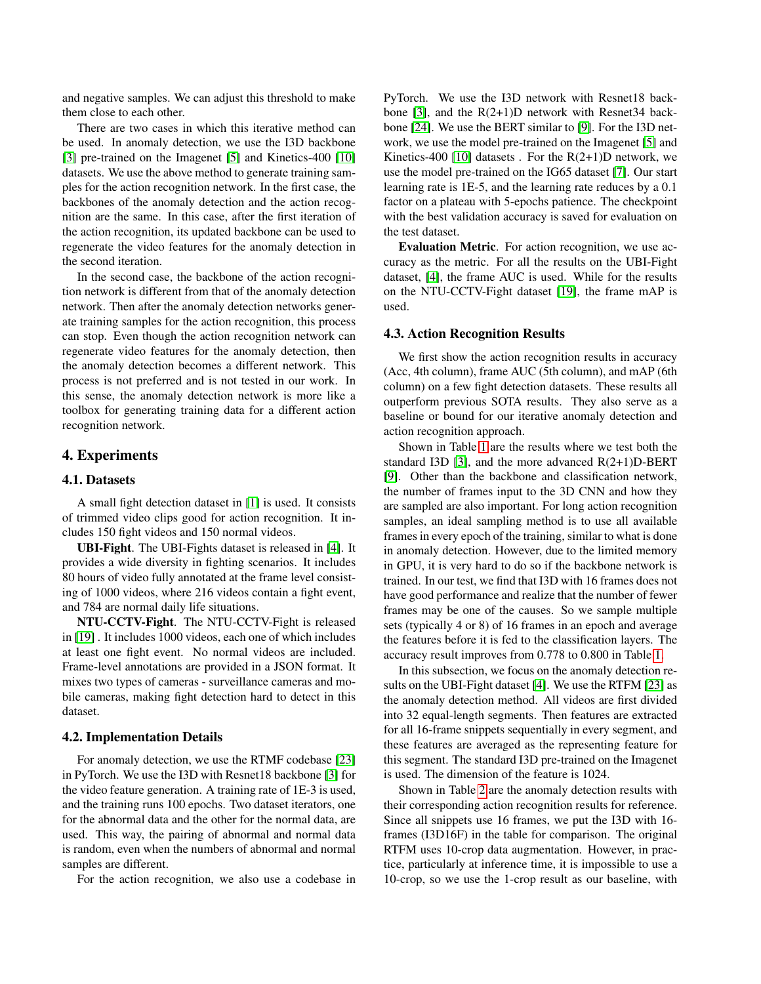and negative samples. We can adjust this threshold to make them close to each other.

There are two cases in which this iterative method can be used. In anomaly detection, we use the I3D backbone [\[3\]](#page-6-19) pre-trained on the Imagenet [\[5\]](#page-6-26) and Kinetics-400 [\[10\]](#page-6-27) datasets. We use the above method to generate training samples for the action recognition network. In the first case, the backbones of the anomaly detection and the action recognition are the same. In this case, after the first iteration of the action recognition, its updated backbone can be used to regenerate the video features for the anomaly detection in the second iteration.

In the second case, the backbone of the action recognition network is different from that of the anomaly detection network. Then after the anomaly detection networks generate training samples for the action recognition, this process can stop. Even though the action recognition network can regenerate video features for the anomaly detection, then the anomaly detection becomes a different network. This process is not preferred and is not tested in our work. In this sense, the anomaly detection network is more like a toolbox for generating training data for a different action recognition network.

#### 4. Experiments

#### 4.1. Datasets

A small fight detection dataset in [\[1\]](#page-6-0) is used. It consists of trimmed video clips good for action recognition. It includes 150 fight videos and 150 normal videos.

UBI-Fight. The UBI-Fights dataset is released in [\[4\]](#page-6-2). It provides a wide diversity in fighting scenarios. It includes 80 hours of video fully annotated at the frame level consisting of 1000 videos, where 216 videos contain a fight event, and 784 are normal daily life situations.

NTU-CCTV-Fight. The NTU-CCTV-Fight is released in [\[19\]](#page-6-1) . It includes 1000 videos, each one of which includes at least one fight event. No normal videos are included. Frame-level annotations are provided in a JSON format. It mixes two types of cameras - surveillance cameras and mobile cameras, making fight detection hard to detect in this dataset.

#### 4.2. Implementation Details

For anomaly detection, we use the RTMF codebase [\[23\]](#page-6-14) in PyTorch. We use the I3D with Resnet18 backbone [\[3\]](#page-6-19) for the video feature generation. A training rate of 1E-3 is used, and the training runs 100 epochs. Two dataset iterators, one for the abnormal data and the other for the normal data, are used. This way, the pairing of abnormal and normal data is random, even when the numbers of abnormal and normal samples are different.

For the action recognition, we also use a codebase in

PyTorch. We use the I3D network with Resnet18 back-bone [\[3\]](#page-6-19), and the  $R(2+1)D$  network with Resnet 34 backbone [\[24\]](#page-6-20). We use the BERT similar to [\[9\]](#page-6-21). For the I3D network, we use the model pre-trained on the Imagenet [\[5\]](#page-6-26) and Kinetics-400 [\[10\]](#page-6-27) datasets . For the  $R(2+1)D$  network, we use the model pre-trained on the IG65 dataset [\[7\]](#page-6-28). Our start learning rate is 1E-5, and the learning rate reduces by a 0.1 factor on a plateau with 5-epochs patience. The checkpoint with the best validation accuracy is saved for evaluation on the test dataset.

Evaluation Metric. For action recognition, we use accuracy as the metric. For all the results on the UBI-Fight dataset, [\[4\]](#page-6-2), the frame AUC is used. While for the results on the NTU-CCTV-Fight dataset [\[19\]](#page-6-1), the frame mAP is used.

#### 4.3. Action Recognition Results

We first show the action recognition results in accuracy (Acc, 4th column), frame AUC (5th column), and mAP (6th column) on a few fight detection datasets. These results all outperform previous SOTA results. They also serve as a baseline or bound for our iterative anomaly detection and action recognition approach.

Shown in Table [1](#page-4-0) are the results where we test both the standard I3D [\[3\]](#page-6-19), and the more advanced  $R(2+1)D-BERT$ [\[9\]](#page-6-21). Other than the backbone and classification network, the number of frames input to the 3D CNN and how they are sampled are also important. For long action recognition samples, an ideal sampling method is to use all available frames in every epoch of the training, similar to what is done in anomaly detection. However, due to the limited memory in GPU, it is very hard to do so if the backbone network is trained. In our test, we find that I3D with 16 frames does not have good performance and realize that the number of fewer frames may be one of the causes. So we sample multiple sets (typically 4 or 8) of 16 frames in an epoch and average the features before it is fed to the classification layers. The accuracy result improves from 0.778 to 0.800 in Table [1.](#page-4-0)

In this subsection, we focus on the anomaly detection results on the UBI-Fight dataset [\[4\]](#page-6-2). We use the RTFM [\[23\]](#page-6-14) as the anomaly detection method. All videos are first divided into 32 equal-length segments. Then features are extracted for all 16-frame snippets sequentially in every segment, and these features are averaged as the representing feature for this segment. The standard I3D pre-trained on the Imagenet is used. The dimension of the feature is 1024.

Shown in Table [2](#page-4-1) are the anomaly detection results with their corresponding action recognition results for reference. Since all snippets use 16 frames, we put the I3D with 16 frames (I3D16F) in the table for comparison. The original RTFM uses 10-crop data augmentation. However, in practice, particularly at inference time, it is impossible to use a 10-crop, so we use the 1-crop result as our baseline, with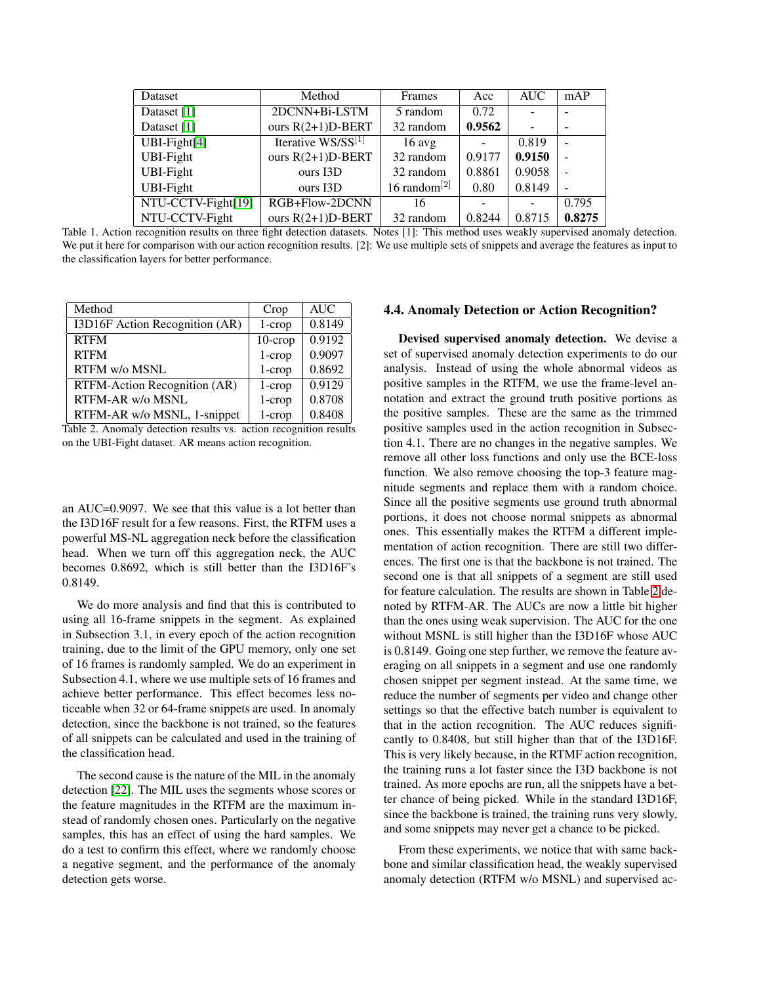| Dataset            | Method              | Frames             | Acc    | <b>AUC</b> | mAP                      |
|--------------------|---------------------|--------------------|--------|------------|--------------------------|
| Dataset [1]        | 2DCNN+Bi-LSTM       | 5 random           | 0.72   |            |                          |
| Dataset [1]        | ours $R(2+1)D-BERT$ | 32 random          | 0.9562 |            | $\overline{\phantom{0}}$ |
| $UBI-Fight[4]$     | Iterative WS/SS[1]  | $16$ avg           |        | 0.819      |                          |
| UBI-Fight          | ours $R(2+1)D-BERT$ | 32 random          | 0.9177 | 0.9150     |                          |
| UBI-Fight          | ours I3D            | 32 random          | 0.8861 | 0.9058     |                          |
| <b>UBI-Fight</b>   | ours I3D            | 16 random $^{[2]}$ | 0.80   | 0.8149     |                          |
| NTU-CCTV-Fight[19] | RGB+Flow-2DCNN      | 16                 |        |            | 0.795                    |
| NTU-CCTV-Fight     | ours $R(2+1)D-BERT$ | 32 random          | 0.8244 | 0.8715     | 0.8275                   |

<span id="page-4-0"></span>Table 1. Action recognition results on three fight detection datasets. Notes [1]: This method uses weakly supervised anomaly detection. We put it here for comparison with our action recognition results. [2]: We use multiple sets of snippets and average the features as input to the classification layers for better performance.

| Method                         | Crop       | <b>AUC</b> |
|--------------------------------|------------|------------|
| I3D16F Action Recognition (AR) | $1$ -crop  | 0.8149     |
| <b>RTFM</b>                    | $10$ -crop | 0.9192     |
| <b>RTFM</b>                    | $1$ -crop  | 0.9097     |
| RTFM w/o MSNL                  | $1$ -crop  | 0.8692     |
| RTFM-Action Recognition (AR)   | $1$ -crop  | 0.9129     |
| RTFM-AR w/o MSNL               | $1$ -crop  | 0.8708     |
| RTFM-AR w/o MSNL, 1-snippet    | $1$ -crop  | 0.8408     |

<span id="page-4-1"></span>Table 2. Anomaly detection results vs. action recognition results on the UBI-Fight dataset. AR means action recognition.

an AUC=0.9097. We see that this value is a lot better than the I3D16F result for a few reasons. First, the RTFM uses a powerful MS-NL aggregation neck before the classification head. When we turn off this aggregation neck, the AUC becomes 0.8692, which is still better than the I3D16F's 0.8149.

We do more analysis and find that this is contributed to using all 16-frame snippets in the segment. As explained in Subsection 3.1, in every epoch of the action recognition training, due to the limit of the GPU memory, only one set of 16 frames is randomly sampled. We do an experiment in Subsection 4.1, where we use multiple sets of 16 frames and achieve better performance. This effect becomes less noticeable when 32 or 64-frame snippets are used. In anomaly detection, since the backbone is not trained, so the features of all snippets can be calculated and used in the training of the classification head.

The second cause is the nature of the MIL in the anomaly detection [\[22\]](#page-6-7). The MIL uses the segments whose scores or the feature magnitudes in the RTFM are the maximum instead of randomly chosen ones. Particularly on the negative samples, this has an effect of using the hard samples. We do a test to confirm this effect, where we randomly choose a negative segment, and the performance of the anomaly detection gets worse.

### 4.4. Anomaly Detection or Action Recognition?

Devised supervised anomaly detection. We devise a set of supervised anomaly detection experiments to do our analysis. Instead of using the whole abnormal videos as positive samples in the RTFM, we use the frame-level annotation and extract the ground truth positive portions as the positive samples. These are the same as the trimmed positive samples used in the action recognition in Subsection 4.1. There are no changes in the negative samples. We remove all other loss functions and only use the BCE-loss function. We also remove choosing the top-3 feature magnitude segments and replace them with a random choice. Since all the positive segments use ground truth abnormal portions, it does not choose normal snippets as abnormal ones. This essentially makes the RTFM a different implementation of action recognition. There are still two differences. The first one is that the backbone is not trained. The second one is that all snippets of a segment are still used for feature calculation. The results are shown in Table [2](#page-4-1) denoted by RTFM-AR. The AUCs are now a little bit higher than the ones using weak supervision. The AUC for the one without MSNL is still higher than the I3D16F whose AUC is 0.8149. Going one step further, we remove the feature averaging on all snippets in a segment and use one randomly chosen snippet per segment instead. At the same time, we reduce the number of segments per video and change other settings so that the effective batch number is equivalent to that in the action recognition. The AUC reduces significantly to 0.8408, but still higher than that of the I3D16F. This is very likely because, in the RTMF action recognition, the training runs a lot faster since the I3D backbone is not trained. As more epochs are run, all the snippets have a better chance of being picked. While in the standard I3D16F, since the backbone is trained, the training runs very slowly, and some snippets may never get a chance to be picked.

From these experiments, we notice that with same backbone and similar classification head, the weakly supervised anomaly detection (RTFM w/o MSNL) and supervised ac-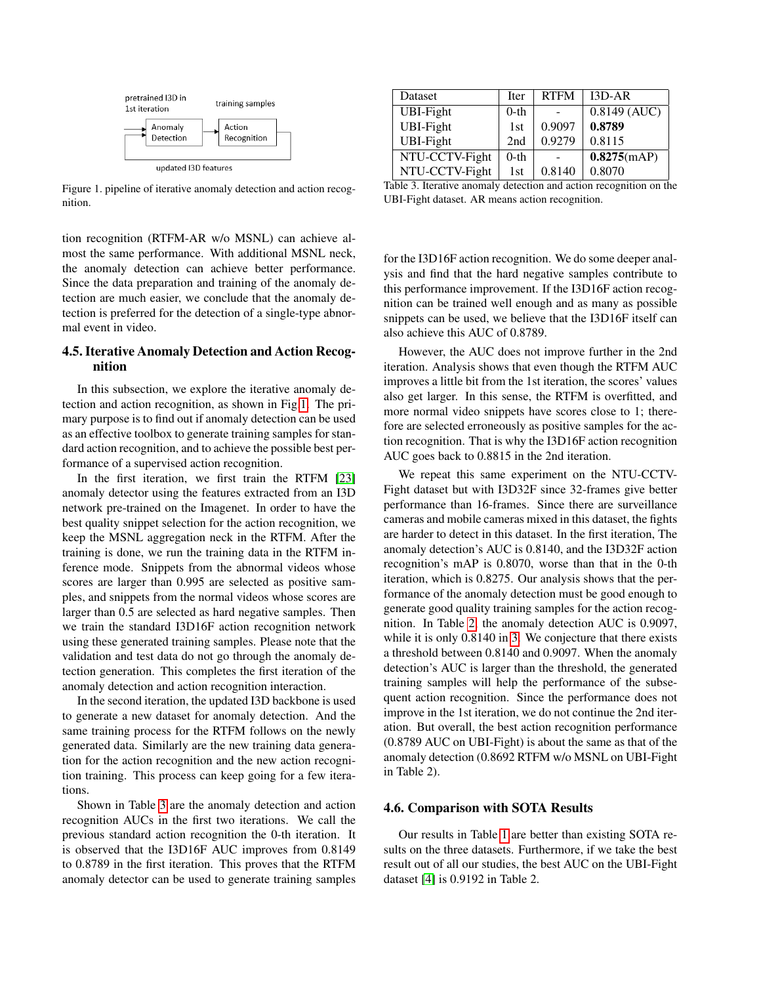

<span id="page-5-0"></span>Figure 1. pipeline of iterative anomaly detection and action recognition.

tion recognition (RTFM-AR w/o MSNL) can achieve almost the same performance. With additional MSNL neck, the anomaly detection can achieve better performance. Since the data preparation and training of the anomaly detection are much easier, we conclude that the anomaly detection is preferred for the detection of a single-type abnormal event in video.

## 4.5. Iterative Anomaly Detection and Action Recognition

In this subsection, we explore the iterative anomaly detection and action recognition, as shown in Fig[.1.](#page-5-0) The primary purpose is to find out if anomaly detection can be used as an effective toolbox to generate training samples for standard action recognition, and to achieve the possible best performance of a supervised action recognition.

In the first iteration, we first train the RTFM [\[23\]](#page-6-14) anomaly detector using the features extracted from an I3D network pre-trained on the Imagenet. In order to have the best quality snippet selection for the action recognition, we keep the MSNL aggregation neck in the RTFM. After the training is done, we run the training data in the RTFM inference mode. Snippets from the abnormal videos whose scores are larger than 0.995 are selected as positive samples, and snippets from the normal videos whose scores are larger than 0.5 are selected as hard negative samples. Then we train the standard I3D16F action recognition network using these generated training samples. Please note that the validation and test data do not go through the anomaly detection generation. This completes the first iteration of the anomaly detection and action recognition interaction.

In the second iteration, the updated I3D backbone is used to generate a new dataset for anomaly detection. And the same training process for the RTFM follows on the newly generated data. Similarly are the new training data generation for the action recognition and the new action recognition training. This process can keep going for a few iterations.

Shown in Table [3](#page-5-1) are the anomaly detection and action recognition AUCs in the first two iterations. We call the previous standard action recognition the 0-th iteration. It is observed that the I3D16F AUC improves from 0.8149 to 0.8789 in the first iteration. This proves that the RTFM anomaly detector can be used to generate training samples

| Dataset                                                                                   | <b>Iter</b> | <b>RTFM</b> | $I3D-AR$       |
|-------------------------------------------------------------------------------------------|-------------|-------------|----------------|
| UBI-Fight                                                                                 | $0$ -th     |             | $0.8149$ (AUC) |
| <b>UBI-Fight</b>                                                                          | 1st         | 0.9097      | 0.8789         |
| <b>UBI-Fight</b>                                                                          | 2nd         | 0.9279      | 0.8115         |
| NTU-CCTV-Fight                                                                            | $0$ -th     |             | 0.8275(mAP)    |
| NTU-CCTV-Fight<br>this O Transfers an analysis derivation and a sriem mass anticom an ris | 1st         | 0.8140      | 0.8070         |

<span id="page-5-1"></span>Table 3. Iterative anomaly detection and action recognition on the UBI-Fight dataset. AR means action recognition.

for the I3D16F action recognition. We do some deeper analysis and find that the hard negative samples contribute to this performance improvement. If the I3D16F action recognition can be trained well enough and as many as possible snippets can be used, we believe that the I3D16F itself can also achieve this AUC of 0.8789.

However, the AUC does not improve further in the 2nd iteration. Analysis shows that even though the RTFM AUC improves a little bit from the 1st iteration, the scores' values also get larger. In this sense, the RTFM is overfitted, and more normal video snippets have scores close to 1; therefore are selected erroneously as positive samples for the action recognition. That is why the I3D16F action recognition AUC goes back to 0.8815 in the 2nd iteration.

We repeat this same experiment on the NTU-CCTV-Fight dataset but with I3D32F since 32-frames give better performance than 16-frames. Since there are surveillance cameras and mobile cameras mixed in this dataset, the fights are harder to detect in this dataset. In the first iteration, The anomaly detection's AUC is 0.8140, and the I3D32F action recognition's mAP is 0.8070, worse than that in the 0-th iteration, which is 0.8275. Our analysis shows that the performance of the anomaly detection must be good enough to generate good quality training samples for the action recognition. In Table [2,](#page-4-1) the anomaly detection AUC is 0.9097, while it is only 0.8140 in [3.](#page-5-1) We conjecture that there exists a threshold between 0.8140 and 0.9097. When the anomaly detection's AUC is larger than the threshold, the generated training samples will help the performance of the subsequent action recognition. Since the performance does not improve in the 1st iteration, we do not continue the 2nd iteration. But overall, the best action recognition performance (0.8789 AUC on UBI-Fight) is about the same as that of the anomaly detection (0.8692 RTFM w/o MSNL on UBI-Fight in Table 2).

#### 4.6. Comparison with SOTA Results

Our results in Table [1](#page-4-0) are better than existing SOTA results on the three datasets. Furthermore, if we take the best result out of all our studies, the best AUC on the UBI-Fight dataset [\[4\]](#page-6-2) is 0.9192 in Table 2.